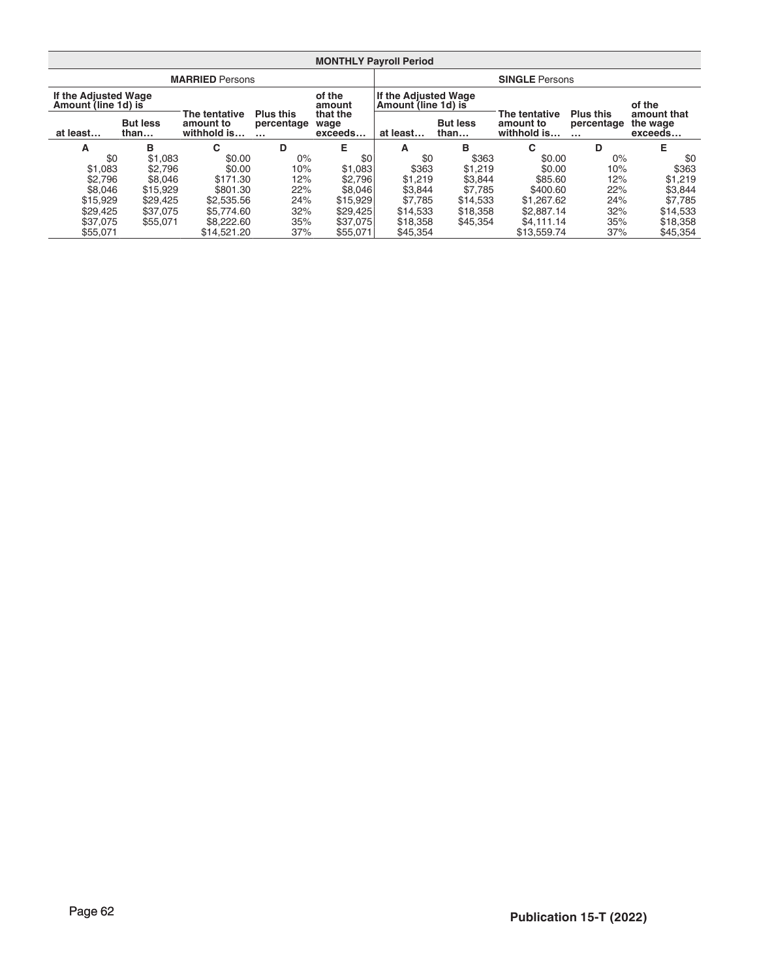| <b>MONTHLY Payroll Period</b>               |                         |                                           |                                    |                             |                                                    |          |                                           |                                    |                                    |  |  |  |  |
|---------------------------------------------|-------------------------|-------------------------------------------|------------------------------------|-----------------------------|----------------------------------------------------|----------|-------------------------------------------|------------------------------------|------------------------------------|--|--|--|--|
|                                             |                         | <b>MARRIED Persons</b>                    |                                    |                             | <b>SINGLE Persons</b>                              |          |                                           |                                    |                                    |  |  |  |  |
| If the Adjusted Wage<br>Amount (line 1d) is |                         |                                           |                                    | of the<br>amount            | <b>If the Adjusted Wage</b><br>Amount (line 1d) is |          |                                           |                                    | of the                             |  |  |  |  |
| at least                                    | <b>But less</b><br>than | The tentative<br>amount to<br>withhold is | <b>Plus this</b><br>percentage<br> | that the<br>wage<br>exceeds | <b>But less</b><br>than<br>at least                |          | The tentative<br>amount to<br>withhold is | <b>Plus this</b><br>percentage<br> | amount that<br>the wage<br>exceeds |  |  |  |  |
| A                                           | в                       | C                                         | D                                  | Е                           | A                                                  | в        | C                                         | D                                  | E                                  |  |  |  |  |
| \$0                                         | \$1,083                 | \$0.00                                    | $0\%$                              | \$0                         | \$0                                                | \$363    | \$0.00                                    | $0\%$                              | \$0                                |  |  |  |  |
| \$1,083                                     | \$2.796                 | \$0.00                                    | 10%                                | \$1,083                     | \$363                                              | \$1,219  | \$0.00                                    | 10%                                | \$363                              |  |  |  |  |
| \$2.796                                     | \$8,046                 | \$171.30                                  | 12%                                | \$2,796                     | \$1,219                                            | \$3,844  | \$85.60                                   | 12%                                | \$1,219                            |  |  |  |  |
| \$8,046                                     | \$15,929                | \$801.30                                  | 22%                                | \$8,046                     | \$3.844                                            | \$7,785  | \$400.60                                  | 22%                                | \$3,844                            |  |  |  |  |
| \$15,929                                    | \$29,425                | \$2,535.56                                | 24%                                | \$15,929                    | \$7.785                                            | \$14,533 | \$1,267.62                                | 24%                                | \$7.785                            |  |  |  |  |
| \$29,425                                    | \$37,075                | \$5,774.60                                | 32%                                | \$29,425                    | \$14,533                                           | \$18,358 | \$2,887.14                                | 32%                                | \$14,533                           |  |  |  |  |
| \$37,075                                    | \$55,071                | \$8,222,60                                | 35%                                | \$37,075                    | \$18,358                                           | \$45,354 | \$4.111.14                                | 35%                                | \$18,358                           |  |  |  |  |
| \$55,071                                    |                         | \$14.521.20                               | 37%                                | \$55,071                    | \$45.354                                           |          | \$13,559.74                               | 37%                                | \$45.354                           |  |  |  |  |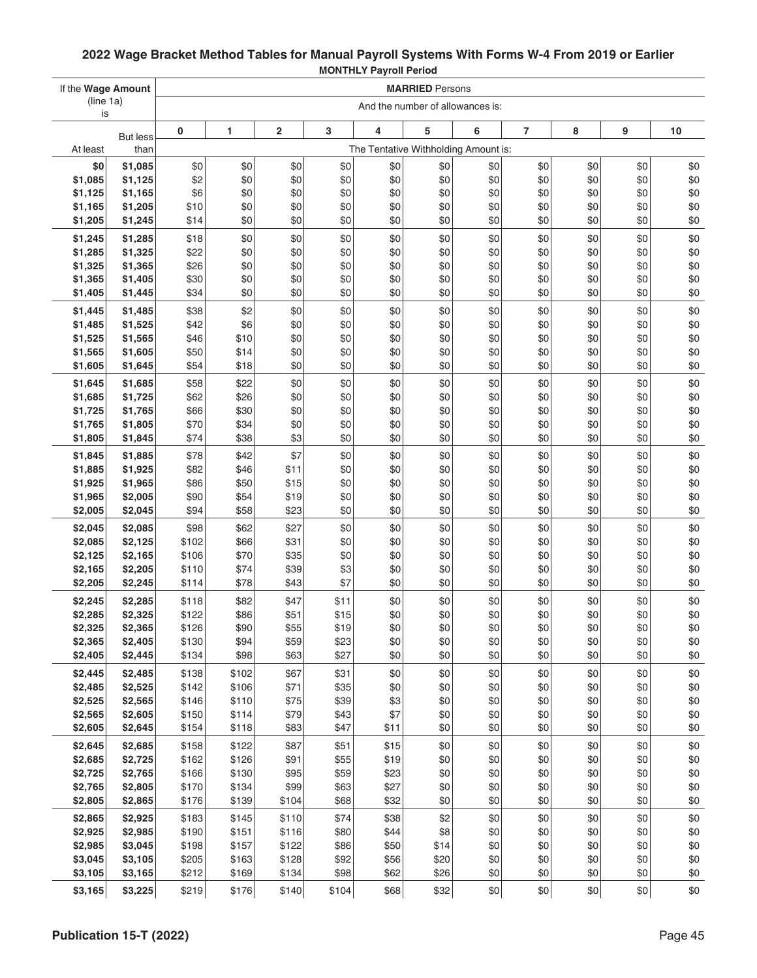| If the Wage Amount |                         | <b>MARRIED Persons</b> |                |                |              |                                      |                                  |            |                |            |            |            |
|--------------------|-------------------------|------------------------|----------------|----------------|--------------|--------------------------------------|----------------------------------|------------|----------------|------------|------------|------------|
| (line 1a)<br>is    |                         |                        |                |                |              |                                      | And the number of allowances is: |            |                |            |            |            |
|                    |                         | 0                      | 1              | $\overline{2}$ | 3            | 4                                    | 5                                | 6          | $\overline{7}$ | 8          | 9          | 10         |
| At least           | <b>But less</b><br>than |                        |                |                |              | The Tentative Withholding Amount is: |                                  |            |                |            |            |            |
| \$0                | \$1,085                 | \$0                    | \$0            | \$0            | \$0          | \$0                                  | \$0                              | \$0        | \$0            | \$0        | \$0        | \$0        |
| \$1,085            | \$1,125                 | \$2                    | \$0            | \$0            | \$0          | \$0                                  | \$0                              | \$0        | \$0            | \$0        | \$0        | \$0        |
| \$1,125            | \$1,165                 | \$6                    | \$0            | \$0            | \$0          | \$0                                  | \$0                              | \$0        | \$0            | \$0        | \$0        | \$0        |
| \$1,165            | \$1,205                 | \$10                   | \$0            | \$0            | \$0          | \$0                                  | \$0                              | \$0        | \$0            | \$0        | \$0        | \$0        |
| \$1,205            | \$1,245                 | \$14                   | \$0            | \$0            | \$0          | \$0                                  | \$0                              | \$0        | \$0            | \$0        | \$0        | \$0        |
| \$1,245            | \$1,285                 | \$18                   | \$0            | \$0            | \$0          | \$0                                  | \$0                              | \$0        | \$0            | \$0        | \$0        | \$0        |
| \$1,285            | \$1,325                 | \$22                   | \$0            | \$0            | \$0          | \$0                                  | \$0                              | \$0        | \$0            | \$0        | \$0        | \$0        |
| \$1,325<br>\$1,365 | \$1,365<br>\$1,405      | \$26<br>\$30           | \$0<br>\$0     | \$0<br>\$0     | \$0<br>\$0   | \$0<br>\$0                           | \$0<br>\$0                       | \$0<br>\$0 | \$0<br>\$0     | \$0<br>\$0 | \$0<br>\$0 | \$0<br>\$0 |
| \$1,405            | \$1,445                 | \$34                   | \$0            | \$0            | \$0          | \$0                                  | \$0                              | \$0        | \$0            | \$0        | \$0        | \$0        |
| \$1,445            | \$1,485                 | \$38                   | \$2            | \$0            | \$0          | \$0                                  | \$0                              | \$0        | \$0            | \$0        | \$0        | \$0        |
| \$1,485            | \$1,525                 | \$42                   | \$6            | \$0            | \$0          | \$0                                  | \$0                              | \$0        | \$0            | \$0        | \$0        | \$0        |
| \$1,525            | \$1,565                 | \$46                   | \$10           | \$0            | \$0          | \$0                                  | \$0                              | \$0        | \$0            | \$0        | \$0        | \$0        |
| \$1,565            | \$1,605                 | \$50                   | \$14           | \$0            | \$0          | \$0                                  | \$0                              | \$0        | \$0            | \$0        | \$0        | \$0        |
| \$1,605            | \$1,645                 | \$54                   | \$18           | \$0            | \$0          | \$0                                  | \$0                              | \$0        | \$0            | \$0        | \$0        | \$0        |
| \$1,645            | \$1,685                 | \$58                   | \$22           | \$0            | \$0          | \$0                                  | \$0                              | \$0        | \$0            | \$0        | \$0        | \$0        |
| \$1,685            | \$1,725                 | \$62                   | \$26           | \$0            | \$0          | \$0                                  | \$0                              | \$0        | \$0            | \$0        | \$0        | \$0        |
| \$1,725            | \$1,765                 | \$66                   | \$30           | \$0            | \$0          | \$0                                  | \$0                              | \$0        | \$0            | \$0        | \$0        | \$0        |
| \$1,765<br>\$1,805 | \$1,805<br>\$1,845      | \$70<br>\$74           | \$34<br>\$38   | \$0<br>\$3     | \$0<br>\$0   | \$0<br>\$0                           | \$0<br>\$0                       | \$0<br>\$0 | \$0<br>\$0     | \$0<br>\$0 | \$0<br>\$0 | \$0<br>\$0 |
|                    |                         |                        |                |                |              |                                      |                                  |            |                |            |            |            |
| \$1,845<br>\$1,885 | \$1,885<br>\$1,925      | \$78<br>\$82           | \$42<br>\$46   | \$7<br>\$11    | \$0<br>\$0   | \$0<br>\$0                           | \$0<br>\$0                       | \$0<br>\$0 | \$0<br>\$0     | \$0<br>\$0 | \$0<br>\$0 | \$0<br>\$0 |
| \$1,925            | \$1,965                 | \$86                   | \$50           | \$15           | \$0          | \$0                                  | \$0                              | \$0        | \$0            | \$0        | \$0        | \$0        |
| \$1,965            | \$2,005                 | \$90                   | \$54           | \$19           | \$0          | \$0                                  | \$0                              | \$0        | \$0            | \$0        | \$0        | \$0        |
| \$2,005            | \$2,045                 | \$94                   | \$58           | \$23           | \$0          | \$0                                  | \$0                              | \$0        | \$0            | \$0        | \$0        | \$0        |
| \$2,045            | \$2,085                 | \$98                   | \$62           | \$27           | \$0          | \$0                                  | \$0                              | \$0        | \$0            | \$0        | \$0        | \$0        |
| \$2,085            | \$2,125                 | \$102                  | \$66           | \$31           | \$0          | \$0                                  | \$0                              | \$0        | \$0            | \$0        | \$0        | \$0        |
| \$2,125            | \$2,165                 | \$106                  | \$70           | \$35           | \$0          | \$0                                  | \$0                              | \$0        | \$0            | \$0        | \$0        | \$0        |
| \$2,165            | \$2,205                 | \$110                  | \$74           | \$39           | \$3          | \$0                                  | \$0                              | \$0        | \$0            | \$0        | \$0        | \$0        |
| \$2,205            | \$2,245                 | \$114                  | \$78           | \$43           | \$7          | \$0                                  | \$0                              | \$0        | \$0            | \$0        | \$0        | \$0        |
| \$2,245            | \$2,285                 | \$118                  | \$82           | \$47<br>\$51   | \$11<br>\$15 | \$0                                  | \$0<br>\$0                       | \$0<br>\$0 | \$0            | \$0<br>\$0 | \$0<br>\$0 | \$0<br>\$0 |
| \$2,285<br>\$2,325 | \$2,325<br>\$2,365      | \$122<br>\$126         | \$86<br>\$90   | \$55           | \$19         | \$0<br>\$0                           | \$0                              | \$0        | \$0<br>\$0     | \$0        | \$0        | \$0        |
| \$2,365            | \$2,405                 | \$130                  | \$94           | \$59           | \$23         | \$0                                  | \$0                              | \$0        | \$0            | \$0        | \$0        | \$0        |
| \$2,405            | \$2,445                 | \$134                  | \$98           | \$63           | \$27         | \$0                                  | \$0                              | \$0        | \$0            | \$0        | \$0        | \$0        |
| \$2,445            | \$2,485                 | \$138                  | \$102          | \$67           | \$31         | \$0                                  | \$0                              | \$0        | \$0            | \$0        | \$0        | \$0        |
| \$2,485            | \$2,525                 | \$142                  | \$106          | \$71           | \$35         | \$0                                  | \$0                              | \$0        | \$0            | \$0        | \$0        | \$0        |
| \$2,525            | \$2,565                 | \$146                  | \$110          | \$75           | \$39         | \$3                                  | \$0                              | \$0        | \$0            | \$0        | \$0        | \$0        |
| \$2,565            | \$2,605                 | \$150                  | \$114          | \$79           | \$43         | \$7                                  | \$0                              | \$0        | \$0            | \$0        | \$0        | \$0        |
| \$2,605            | \$2,645                 | \$154                  | \$118          | \$83           | \$47         | \$11                                 | \$0                              | \$0        | \$0            | \$0        | \$0        | \$0        |
| \$2,645            | \$2,685                 | \$158                  | \$122          | \$87           | \$51         | \$15                                 | \$0                              | \$0        | \$0            | \$0        | \$0        | \$0        |
| \$2,685<br>\$2,725 | \$2,725<br>\$2,765      | \$162<br>\$166         | \$126<br>\$130 | \$91<br>\$95   | \$55<br>\$59 | \$19<br>\$23                         | \$0<br>\$0                       | \$0<br>\$0 | \$0<br>\$0     | \$0<br>\$0 | \$0<br>\$0 | \$0<br>\$0 |
| \$2,765            | \$2,805                 | \$170                  | \$134          | \$99           | \$63         | \$27                                 | \$0                              | \$0        | \$0            | \$0        | \$0        | \$0        |
| \$2,805            | \$2,865                 | \$176                  | \$139          | \$104          | \$68         | \$32                                 | \$0                              | \$0        | \$0            | \$0        | \$0        | \$0        |
| \$2,865            | \$2,925                 | \$183                  | \$145          | \$110          | \$74         | \$38                                 | \$2                              | \$0        | \$0            | \$0        | \$0        | \$0        |
| \$2,925            | \$2,985                 | \$190                  | \$151          | \$116          | \$80         | \$44                                 | \$8                              | \$0        | \$0            | \$0        | \$0        | \$0        |
| \$2,985            | \$3,045                 | \$198                  | \$157          | \$122          | \$86         | \$50                                 | \$14                             | \$0        | \$0            | \$0        | \$0        | \$0        |
| \$3,045            | \$3,105                 | \$205                  | \$163          | \$128          | \$92         | \$56                                 | \$20                             | \$0        | \$0            | \$0        | \$0        | \$0        |
| \$3,105            | \$3,165                 | \$212                  | \$169          | \$134          | \$98         | \$62                                 | \$26                             | \$0        | \$0            | \$0        | \$0        | \$0        |
| \$3,165            | \$3,225                 | \$219                  | \$176          | \$140          | \$104        | \$68                                 | \$32                             | \$0        | \$0            | \$0        | \$0        | \$0        |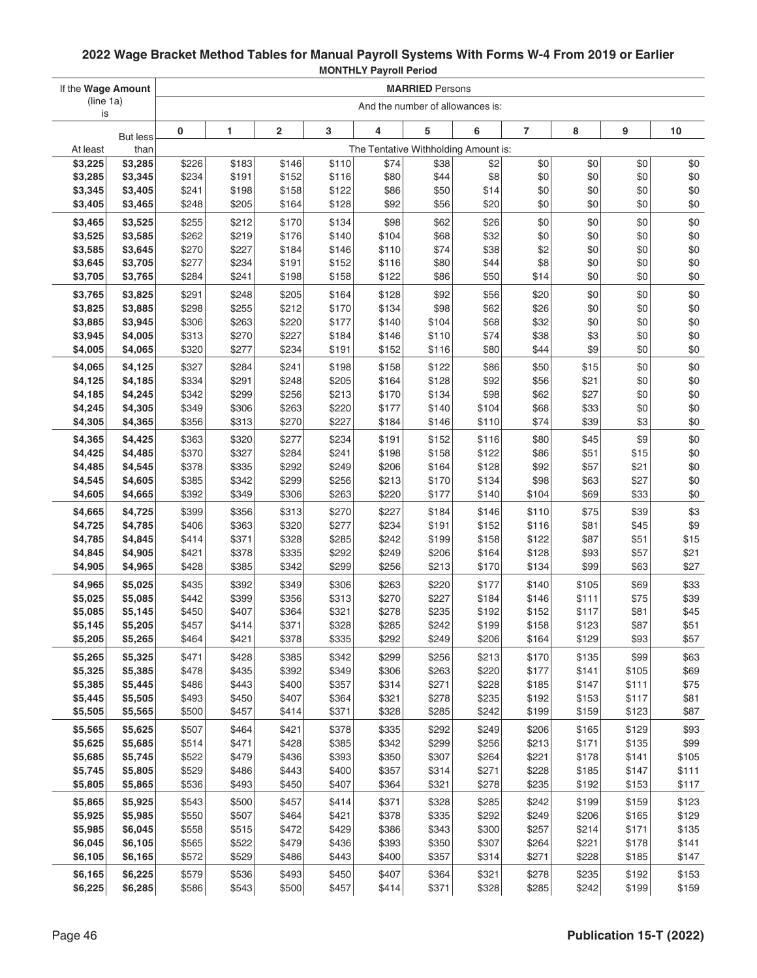| If the Wage Amount |                         | <b>MARRIED Persons</b> |                |                         |                |                |                |                                      |                |                |                |              |
|--------------------|-------------------------|------------------------|----------------|-------------------------|----------------|----------------|----------------|--------------------------------------|----------------|----------------|----------------|--------------|
| (line 1a)          |                         |                        |                |                         |                |                |                | And the number of allowances is:     |                |                |                |              |
| is                 |                         | 0                      | 1              | $\overline{\mathbf{c}}$ | 3              | 4              | 5              | 6                                    | 7              | 8              | 9              | 10           |
| At least           | <b>But less</b><br>than |                        |                |                         |                |                |                | The Tentative Withholding Amount is: |                |                |                |              |
| \$3,225            | \$3,285                 | \$226                  | \$183          | \$146                   | \$110          | \$74           | \$38           | \$2                                  | \$0            | \$0            | \$0            | \$0          |
| \$3,285            | \$3,345                 | \$234                  | \$191          | \$152                   | \$116          | \$80           | \$44           | \$8                                  | \$0            | \$0            | \$0            | \$0          |
| \$3,345            | \$3,405                 | \$241                  | \$198          | \$158                   | \$122          | \$86           | \$50           | \$14                                 | \$0            | \$0            | \$0            | \$0          |
| \$3,405            | \$3,465                 | \$248                  | \$205          | \$164                   | \$128          | \$92           | \$56           | \$20                                 | \$0            | \$0            | \$0            | \$0          |
| \$3,465            | \$3,525                 | \$255                  | \$212          | \$170                   | \$134          | \$98           | \$62           | \$26                                 | \$0            | \$0            | \$0            | \$0          |
| \$3,525            | \$3,585                 | \$262                  | \$219          | \$176                   | \$140          | \$104          | \$68           | \$32                                 | \$0            | \$0            | \$0            | \$0          |
| \$3,585            | \$3,645                 | \$270                  | \$227          | \$184                   | \$146          | \$110          | \$74           | \$38                                 | \$2            | \$0            | \$0            | \$0          |
| \$3,645            | \$3,705                 | \$277                  | \$234          | \$191                   | \$152          | \$116          | \$80           | \$44                                 | \$8            | \$0            | \$0            | \$0          |
| \$3,705            | \$3,765                 | \$284                  | \$241          | \$198                   | \$158          | \$122          | \$86           | \$50                                 | \$14           | \$0            | \$0            | \$0          |
| \$3,765            | \$3,825                 | \$291                  | \$248          | \$205                   | \$164          | \$128          | \$92           | \$56                                 | \$20           | \$0            | \$0            | \$0          |
| \$3,825            | \$3,885                 | \$298                  | \$255          | \$212                   | \$170          | \$134          | \$98           | \$62                                 | \$26           | \$0            | \$0            | \$0          |
| \$3,885            | \$3,945                 | \$306                  | \$263          | \$220                   | \$177          | \$140          | \$104          | \$68                                 | \$32           | \$0            | \$0            | \$0          |
| \$3,945            | \$4,005                 | \$313                  | \$270          | \$227                   | \$184          | \$146          | \$110          | \$74                                 | \$38           | \$3            | \$0            | \$0          |
| \$4,005            | \$4,065                 | \$320                  | \$277          | \$234                   | \$191          | \$152          | \$116          | \$80                                 | \$44           | \$9            | \$0            | \$0          |
| \$4,065            | \$4,125                 | \$327                  | \$284          | \$241                   | \$198          | \$158          | \$122          | \$86                                 | \$50           | \$15           | \$0            | \$0          |
| \$4,125            | \$4,185                 | \$334                  | \$291          | \$248                   | \$205          | \$164          | \$128          | \$92                                 | \$56           | \$21           | \$0            | \$0          |
| \$4,185            | \$4,245                 | \$342                  | \$299          | \$256                   | \$213          | \$170          | \$134          | \$98                                 | \$62           | \$27           | \$0            | \$0          |
| \$4,245            | \$4,305                 | \$349                  | \$306          | \$263                   | \$220          | \$177          | \$140          | \$104                                | \$68           | \$33           | \$0            | \$0          |
| \$4,305            | \$4,365                 | \$356                  | \$313          | \$270                   | \$227          | \$184          | \$146          | \$110                                | \$74           | \$39           | \$3            | \$0          |
| \$4,365            | \$4,425                 | \$363                  | \$320          | \$277                   | \$234          | \$191          | \$152          | \$116                                | \$80           | \$45           | \$9            | \$0          |
| \$4,425            | \$4,485                 | \$370                  | \$327          | \$284                   | \$241          | \$198          | \$158          | \$122                                | \$86           | \$51           | \$15           | \$0          |
| \$4,485            | \$4,545                 | \$378                  | \$335          | \$292                   | \$249          | \$206          | \$164          | \$128                                | \$92           | \$57           | \$21           | \$0          |
| \$4,545            | \$4,605                 | \$385                  | \$342          | \$299                   | \$256          | \$213          | \$170          | \$134                                | \$98           | \$63           | \$27           | \$0          |
| \$4,605            | \$4,665                 | \$392                  | \$349          | \$306                   | \$263          | \$220          | \$177          | \$140                                | \$104          | \$69           | \$33           | \$0          |
| \$4,665            | \$4,725                 | \$399                  | \$356          | \$313                   | \$270          | \$227          | \$184          | \$146                                | \$110          | \$75           | \$39           | \$3          |
| \$4,725            | \$4,785                 | \$406                  | \$363          | \$320                   | \$277          | \$234          | \$191          | \$152                                | \$116          | \$81           | \$45           | \$9          |
| \$4,785            | \$4,845                 | \$414                  | \$371          | \$328                   | \$285          | \$242          | \$199          | \$158                                | \$122          | \$87           | \$51           | \$15         |
| \$4,845            | \$4,905                 | \$421                  | \$378          | \$335                   | \$292          | \$249          | \$206          | \$164                                | \$128          | \$93           | \$57           | \$21         |
| \$4,905            | \$4,965                 | \$428                  | \$385          | \$342                   | \$299          | \$256          | \$213          | \$170                                | \$134          | \$99           | \$63           | \$27         |
| \$4,965            | \$5,025                 | \$435                  | \$392          | \$349                   | \$306          | \$263          | \$220          | \$177                                | \$140          | \$105          | \$69           | \$33         |
| \$5,025            | \$5,085                 | \$442                  | \$399          | \$356                   | \$313          | \$270          | \$227          | \$184                                | \$146          | \$111          | \$75           | \$39         |
| \$5,085            | \$5,145                 | \$450                  | \$407          | \$364                   | \$321          | \$278          | \$235          | \$192                                | \$152          | \$117          | \$81           | \$45         |
| \$5,145            | \$5,205                 | \$457                  | \$414          | \$371                   | \$328          | \$285<br>\$292 | \$242          | \$199                                | \$158          | \$123          | \$87           | \$51         |
| \$5,205            | \$5,265                 | \$464                  | \$421          | \$378                   | \$335          |                | \$249          | \$206                                | \$164          | \$129          | \$93           | \$57         |
| \$5,265            | \$5,325                 | \$471                  | \$428          | \$385                   | \$342          | \$299          | \$256          | \$213                                | \$170          | \$135          | \$99           | \$63         |
| \$5,325            | \$5,385                 | \$478                  | \$435          | \$392                   | \$349          | \$306          | \$263          | \$220                                | \$177          | \$141          | \$105          | \$69         |
| \$5,385<br>\$5,445 | \$5,445<br>\$5,505      | \$486<br>\$493         | \$443<br>\$450 | \$400<br>\$407          | \$357<br>\$364 | \$314<br>\$321 | \$271<br>\$278 | \$228<br>\$235                       | \$185<br>\$192 | \$147<br>\$153 | \$111<br>\$117 | \$75<br>\$81 |
| \$5,505            | \$5,565                 | \$500                  | \$457          | \$414                   | \$371          | \$328          | \$285          | \$242                                | \$199          | \$159          | \$123          | \$87         |
|                    |                         |                        |                |                         |                |                |                |                                      |                |                |                |              |
| \$5,565<br>\$5,625 | \$5,625                 | \$507                  | \$464          | \$421<br>\$428          | \$378<br>\$385 | \$335<br>\$342 | \$292          | \$249                                | \$206          | \$165          | \$129<br>\$135 | \$93<br>\$99 |
| \$5,685            | \$5,685<br>\$5,745      | \$514<br>\$522         | \$471<br>\$479 | \$436                   | \$393          | \$350          | \$299<br>\$307 | \$256<br>\$264                       | \$213<br>\$221 | \$171<br>\$178 | \$141          | \$105        |
| \$5,745            | \$5,805                 | \$529                  | \$486          | \$443                   | \$400          | \$357          | \$314          | \$271                                | \$228          | \$185          | \$147          | \$111        |
| \$5,805            | \$5,865                 | \$536                  | \$493          | \$450                   | \$407          | \$364          | \$321          | \$278                                | \$235          | \$192          | \$153          | \$117        |
| \$5,865            | \$5,925                 | \$543                  | \$500          | \$457                   | \$414          | \$371          | \$328          | \$285                                | \$242          | \$199          | \$159          | \$123        |
| \$5,925            | \$5,985                 | \$550                  | \$507          | \$464                   | \$421          | \$378          | \$335          | \$292                                | \$249          | \$206          | \$165          | \$129        |
| \$5,985            | \$6,045                 | \$558                  | \$515          | \$472                   | \$429          | \$386          | \$343          | \$300                                | \$257          | \$214          | \$171          | \$135        |
| \$6,045            | \$6,105                 | \$565                  | \$522          | \$479                   | \$436          | \$393          | \$350          | \$307                                | \$264          | \$221          | \$178          | \$141        |
| \$6,105            | \$6,165                 | \$572                  | \$529          | \$486                   | \$443          | \$400          | \$357          | \$314                                | \$271          | \$228          | \$185          | \$147        |
| \$6,165            | \$6,225                 | \$579                  | \$536          | \$493                   | \$450          | \$407          | \$364          | \$321                                | \$278          | \$235          | \$192          | \$153        |
| \$6,225            | \$6,285                 | \$586                  | \$543          | \$500                   | \$457          | \$414]         | \$371          | \$328                                | \$285          | \$242          | \$199          | \$159        |
|                    |                         |                        |                |                         |                |                |                |                                      |                |                |                |              |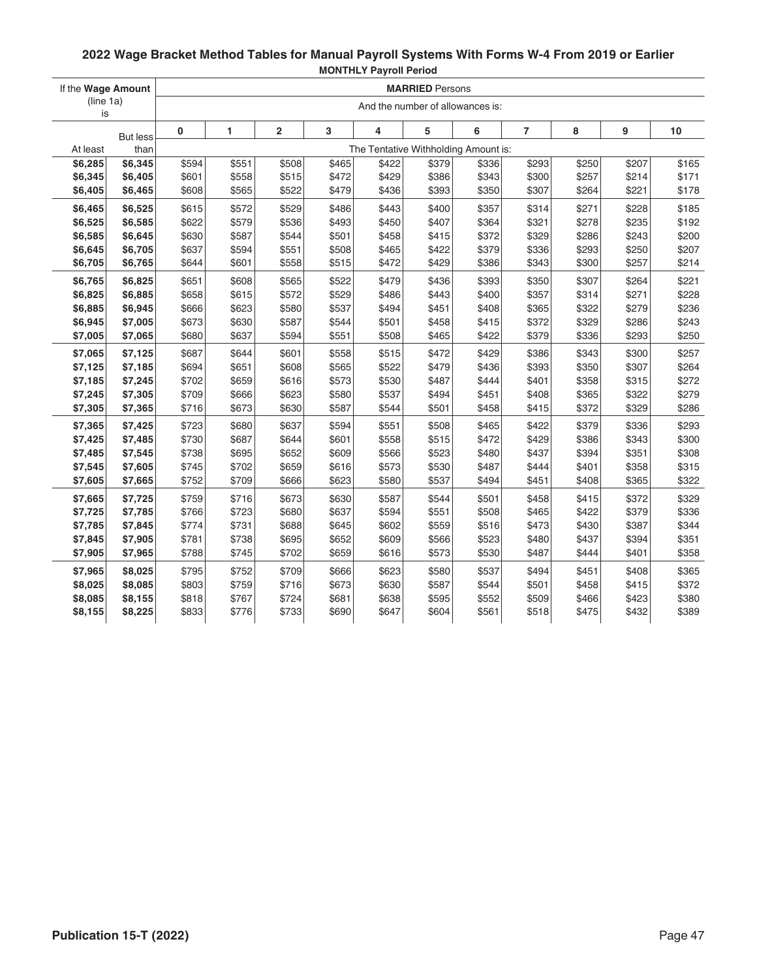| If the Wage Amount |                 | <b>MARRIED Persons</b>               |       |                         |       |       |       |                                  |                |       |       |       |
|--------------------|-----------------|--------------------------------------|-------|-------------------------|-------|-------|-------|----------------------------------|----------------|-------|-------|-------|
| (line 1a)<br>is    |                 |                                      |       |                         |       |       |       | And the number of allowances is: |                |       |       |       |
|                    | <b>But less</b> | 0                                    | 1     | $\overline{\mathbf{2}}$ | 3     | 4     | 5     | 6                                | $\overline{7}$ | 8     | 9     | $10$  |
| At least           | than            | The Tentative Withholding Amount is: |       |                         |       |       |       |                                  |                |       |       |       |
| \$6,285            | \$6,345         | \$594                                | \$551 | \$508                   | \$465 | \$422 | 3379  | \$336                            | \$293          | \$250 | \$207 | \$165 |
| \$6,345            | \$6,405         | \$601                                | \$558 | \$515                   | \$472 | \$429 | \$386 | \$343                            | \$300          | \$257 | \$214 | \$171 |
| \$6,405            | \$6,465         | \$608                                | \$565 | \$522                   | \$479 | \$436 | \$393 | \$350                            | \$307          | \$264 | \$221 | \$178 |
| \$6,465            | \$6,525         | \$615                                | \$572 | \$529                   | \$486 | \$443 | \$400 | \$357                            | \$314          | \$271 | \$228 | \$185 |
| \$6,525            | \$6,585         | \$622                                | \$579 | \$536                   | \$493 | \$450 | \$407 | \$364                            | \$321          | \$278 | \$235 | \$192 |
| \$6,585            | \$6,645         | \$630                                | \$587 | \$544                   | \$501 | \$458 | \$415 | \$372                            | \$329          | \$286 | \$243 | \$200 |
| \$6,645            | \$6,705         | \$637                                | \$594 | \$551                   | \$508 | \$465 | \$422 | \$379                            | \$336          | \$293 | \$250 | \$207 |
| \$6,705            | \$6,765         | \$644                                | \$601 | \$558                   | \$515 | \$472 | \$429 | \$386                            | \$343          | \$300 | \$257 | \$214 |
| \$6,765            | \$6,825         | \$651                                | \$608 | \$565                   | \$522 | \$479 | \$436 | \$393                            | \$350          | \$307 | \$264 | \$221 |
| \$6,825            | \$6,885         | \$658                                | \$615 | \$572                   | \$529 | \$486 | \$443 | \$400                            | \$357          | \$314 | \$271 | \$228 |
| \$6,885            | \$6,945         | \$666                                | \$623 | \$580                   | \$537 | \$494 | \$451 | \$408                            | \$365          | \$322 | \$279 | \$236 |
| \$6,945            | \$7,005         | \$673                                | \$630 | \$587                   | \$544 | \$501 | \$458 | \$415                            | \$372          | \$329 | \$286 | \$243 |
| \$7,005            | \$7,065         | \$680                                | \$637 | \$594                   | \$551 | \$508 | \$465 | \$422                            | \$379          | \$336 | \$293 | \$250 |
| \$7,065            | \$7,125         | \$687                                | \$644 | \$601                   | \$558 | \$515 | \$472 | \$429                            | \$386          | \$343 | \$300 | \$257 |
| \$7,125            | \$7,185         | \$694                                | \$651 | \$608                   | \$565 | \$522 | \$479 | \$436                            | \$393          | \$350 | \$307 | \$264 |
| \$7,185            | \$7,245         | \$702                                | \$659 | \$616                   | \$573 | \$530 | \$487 | \$444                            | \$401          | \$358 | \$315 | \$272 |
| \$7,245            | \$7,305         | \$709                                | \$666 | \$623                   | \$580 | \$537 | \$494 | \$451                            | \$408          | \$365 | \$322 | \$279 |
| \$7,305            | \$7,365         | \$716                                | \$673 | \$630                   | \$587 | \$544 | \$501 | \$458                            | \$415          | \$372 | \$329 | \$286 |
| \$7,365            | \$7,425         | \$723                                | \$680 | \$637                   | \$594 | \$551 | \$508 | \$465                            | \$422          | \$379 | \$336 | \$293 |
| \$7,425            | \$7,485         | \$730                                | \$687 | \$644                   | \$601 | \$558 | \$515 | \$472                            | \$429          | \$386 | \$343 | \$300 |
| \$7,485            | \$7,545         | \$738                                | \$695 | \$652                   | \$609 | \$566 | \$523 | \$480                            | \$437          | \$394 | \$351 | \$308 |
| \$7,545            | \$7,605         | \$745                                | \$702 | \$659                   | \$616 | \$573 | \$530 | \$487                            | \$444          | \$401 | \$358 | \$315 |
| \$7,605            | \$7,665         | \$752                                | \$709 | \$666                   | \$623 | \$580 | \$537 | \$494                            | \$451          | \$408 | \$365 | \$322 |
| \$7,665            | \$7,725         | \$759                                | \$716 | \$673                   | \$630 | \$587 | \$544 | \$501                            | \$458          | \$415 | \$372 | \$329 |
| \$7,725            | \$7,785         | \$766                                | \$723 | \$680                   | \$637 | \$594 | \$551 | \$508                            | \$465          | \$422 | \$379 | \$336 |
| \$7,785            | \$7,845         | \$774                                | \$731 | \$688                   | \$645 | \$602 | \$559 | \$516                            | \$473          | \$430 | \$387 | \$344 |
| \$7,845            | \$7,905         | \$781                                | \$738 | \$695                   | \$652 | \$609 | \$566 | \$523                            | \$480          | \$437 | \$394 | \$351 |
| \$7,905            | \$7,965         | \$788                                | \$745 | \$702                   | \$659 | \$616 | \$573 | \$530                            | \$487          | \$444 | \$401 | \$358 |
| \$7,965            | \$8,025         | \$795                                | \$752 | \$709                   | \$666 | \$623 | \$580 | \$537                            | \$494          | \$451 | \$408 | \$365 |
| \$8,025            | \$8,085         | \$803                                | \$759 | \$716                   | \$673 | \$630 | \$587 | \$544                            | \$501          | \$458 | \$415 | \$372 |
| \$8,085            | \$8,155         | \$818                                | \$767 | \$724                   | \$681 | \$638 | \$595 | \$552                            | \$509          | \$466 | \$423 | \$380 |
| \$8,155            | \$8,225         | \$833                                | \$776 | \$733                   | \$690 | \$647 | \$604 | \$561                            | \$518          | \$475 | \$432 | \$389 |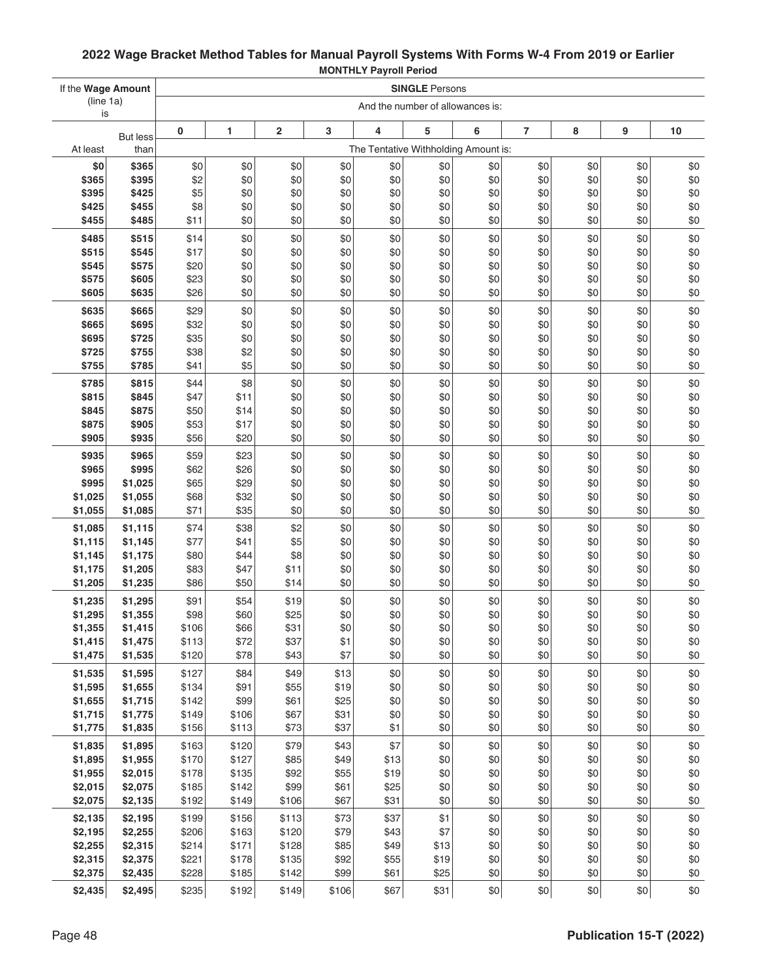| If the Wage Amount |                         |                | <b>SINGLE Persons</b> |                         |              |              |              |                                      |                |            |            |            |
|--------------------|-------------------------|----------------|-----------------------|-------------------------|--------------|--------------|--------------|--------------------------------------|----------------|------------|------------|------------|
| (line 1a)<br>is    |                         |                |                       |                         |              |              |              | And the number of allowances is:     |                |            |            |            |
|                    |                         | 0              | 1                     | $\overline{\mathbf{c}}$ | 3            | 4            | 5            | 6                                    | $\overline{7}$ | 8          | 9          | 10         |
| At least           | <b>But less</b><br>than |                |                       |                         |              |              |              | The Tentative Withholding Amount is: |                |            |            |            |
| \$0                | \$365                   | \$0            | \$0                   | \$0                     | \$0          | \$0          | \$0          | \$0                                  | \$0            | \$0        | \$0        | \$0        |
| \$365              | \$395                   | \$2            | \$0                   | \$0                     | \$0          | \$0          | \$0          | \$0                                  | \$0            | \$0        | \$0        | \$0        |
| \$395              | \$425                   | \$5            | \$0                   | \$0                     | \$0          | \$0          | \$0          | \$0                                  | \$0            | \$0        | \$0        | \$0        |
| \$425              | \$455                   | \$8            | \$0                   | \$0                     | \$0          | \$0          | \$0          | \$0                                  | \$0            | \$0        | \$0        | \$0        |
| \$455              | \$485                   | \$11           | \$0                   | \$0                     | \$0          | \$0          | \$0          | \$0                                  | \$0            | \$0        | \$0        | \$0        |
| \$485              | \$515                   | \$14           | \$0                   | \$0                     | \$0          | \$0          | \$0          | \$0                                  | \$0            | \$0        | \$0        | \$0        |
| \$515              | \$545                   | \$17           | \$0                   | \$0                     | \$0          | \$0          | \$0          | \$0                                  | \$0            | \$0        | \$0        | \$0        |
| \$545              | \$575                   | \$20           | \$0                   | \$0                     | \$0          | \$0          | \$0          | \$0                                  | \$0            | \$0        | \$0        | \$0        |
| \$575<br>\$605     | \$605<br>\$635          | \$23<br>\$26   | \$0<br>\$0            | \$0<br>\$0              | \$0<br>\$0   | \$0<br>\$0   | \$0<br>\$0   | \$0<br>\$0                           | \$0<br>\$0     | \$0<br>\$0 | \$0<br>\$0 | \$0<br>\$0 |
|                    |                         |                |                       |                         |              |              |              |                                      |                |            |            |            |
| \$635<br>\$665     | \$665<br>\$695          | \$29<br>\$32   | \$0<br>\$0            | \$0<br>\$0              | \$0<br>\$0   | \$0<br>\$0   | \$0<br>\$0   | \$0<br>\$0                           | \$0<br>\$0     | \$0<br>\$0 | \$0<br>\$0 | \$0<br>\$0 |
| \$695              | \$725                   | \$35           | \$0                   | \$0                     | \$0          | \$0          | \$0          | \$0                                  | \$0            | \$0        | \$0        | \$0        |
| \$725              | \$755                   | \$38           | \$2                   | \$0                     | \$0          | \$0          | \$0          | \$0                                  | \$0            | \$0        | \$0        | \$0        |
| \$755              | \$785                   | \$41           | \$5                   | \$0                     | \$0          | \$0          | \$0          | \$0                                  | \$0            | \$0        | \$0        | \$0        |
| \$785              | \$815                   | \$44           | \$8                   | \$0                     | \$0          | \$0          | \$0          | \$0                                  | \$0            | \$0        | \$0        | \$0        |
| \$815              | \$845                   | \$47           | \$11                  | \$0                     | \$0          | \$0          | \$0          | \$0                                  | \$0            | \$0        | \$0        | \$0        |
| \$845              | \$875                   | \$50           | \$14                  | \$0                     | \$0          | \$0          | \$0          | \$0                                  | \$0            | \$0        | \$0        | \$0        |
| \$875              | \$905                   | \$53           | \$17                  | \$0                     | \$0          | \$0          | \$0          | \$0                                  | \$0            | \$0        | \$0        | \$0        |
| \$905              | \$935                   | \$56           | \$20                  | \$0                     | \$0          | \$0          | \$0          | \$0                                  | \$0            | \$0        | \$0        | \$0        |
| \$935              | \$965                   | \$59           | \$23                  | \$0                     | \$0          | \$0          | \$0          | \$0                                  | \$0            | \$0        | \$0        | \$0        |
| \$965              | \$995                   | \$62           | \$26                  | \$0                     | \$0          | \$0          | \$0          | \$0                                  | \$0            | \$0        | \$0        | \$0        |
| \$995              | \$1,025                 | \$65           | \$29                  | \$0                     | \$0          | \$0          | \$0          | \$0                                  | \$0            | \$0        | \$0        | \$0        |
| \$1,025<br>\$1,055 | \$1,055<br>\$1,085      | \$68<br>\$71   | \$32<br>\$35          | \$0<br>\$0              | \$0<br>\$0   | \$0<br>\$0   | \$0<br>\$0   | \$0<br>\$0                           | \$0<br>\$0     | \$0<br>\$0 | \$0<br>\$0 | \$0<br>\$0 |
|                    |                         |                |                       |                         |              |              |              |                                      |                |            |            |            |
| \$1,085<br>\$1,115 | \$1,115<br>\$1,145      | \$74<br>\$77   | \$38<br>\$41          | \$2<br>\$5              | \$0<br>\$0   | \$0<br>\$0   | \$0<br>\$0   | \$0<br>\$0                           | \$0<br>\$0     | \$0<br>\$0 | \$0<br>\$0 | \$0<br>\$0 |
| \$1,145            | \$1,175                 | \$80           | \$44                  | \$8                     | \$0          | \$0          | \$0          | \$0                                  | \$0            | \$0        | \$0        | \$0        |
| \$1,175            | \$1,205                 | \$83           | \$47                  | \$11                    | \$0          | \$0          | \$0          | \$0                                  | \$0            | \$0        | \$0        | \$0        |
| \$1,205            | \$1,235                 | \$86           | \$50                  | \$14                    | \$0          | \$0          | \$0          | \$0                                  | \$0            | \$0        | \$0        | \$0        |
| \$1,235            | \$1,295                 | \$91           | \$54                  | \$19                    | \$0          | \$0          | \$0          | \$0                                  | \$0            | \$0        | \$0        | \$0        |
| \$1,295            | \$1,355                 | \$98           | \$60                  | \$25                    | \$0          | \$0          | \$0          | \$0                                  | \$0            | \$0        | \$0        | \$0        |
| \$1,355            | \$1,415                 | \$106          | \$66                  | \$31                    | \$0          | \$0          | \$0          | \$0                                  | \$0            | \$0        | \$0        | \$0        |
| \$1,415            | \$1,475                 | \$113          | \$72                  | \$37                    | \$1          | \$0          | \$0          | \$0                                  | \$0            | \$0        | \$0        | \$0        |
| \$1,475            | \$1,535                 | \$120          | \$78                  | \$43                    | \$7          | \$0          | \$0          | \$0                                  | \$0            | \$0        | \$0        | \$0        |
| \$1,535<br>\$1,595 | \$1,595<br>\$1,655      | \$127<br>\$134 | \$84<br>\$91          | \$49<br>\$55            | \$13<br>\$19 | \$0<br>\$0   | \$0<br>\$0   | \$0<br>\$0                           | \$0<br>\$0     | \$0<br>\$0 | \$0<br>\$0 | \$0<br>\$0 |
| \$1,655            | \$1,715                 | \$142          | \$99                  | \$61                    | \$25         | \$0          | \$0          | \$0                                  | \$0            | \$0        | \$0        | \$0        |
| \$1,715            | \$1,775                 | \$149          | \$106                 | \$67                    | \$31         | \$0          | \$0          | \$0                                  | \$0            | \$0        | \$0        | \$0        |
| \$1,775            | \$1,835                 | \$156          | \$113                 | \$73                    | \$37         | \$1          | \$0          | \$0                                  | \$0            | \$0        | \$0        | \$0        |
| \$1,835            | \$1,895                 | \$163          | \$120                 | \$79                    | \$43         | \$7          | \$0          | \$0                                  | \$0            | \$0        | \$0        | \$0        |
| \$1,895            | \$1,955                 | \$170          | \$127                 | \$85                    | \$49         | \$13         | \$0          | \$0                                  | \$0            | \$0        | \$0        | \$0        |
| \$1,955            | \$2,015                 | \$178          | \$135                 | \$92                    | \$55         | \$19         | \$0          | \$0                                  | \$0            | \$0        | \$0        | \$0        |
| \$2,015            | \$2,075                 | \$185          | \$142                 | \$99                    | \$61         | \$25         | \$0          | \$0                                  | \$0            | \$0        | \$0        | \$0        |
| \$2,075            | \$2,135                 | \$192          | \$149                 | \$106                   | \$67         | \$31         | \$0          | \$0                                  | \$0            | \$0        | \$0        | \$0        |
| \$2,135            | \$2,195                 | \$199          | \$156                 | \$113                   | \$73         | \$37         | \$1          | \$0                                  | \$0            | \$0        | \$0        | \$0        |
| \$2,195            | \$2,255                 | \$206          | \$163                 | \$120                   | \$79         | \$43         | \$7          | \$0                                  | \$0            | \$0        | \$0        | \$0        |
| \$2,255<br>\$2,315 | \$2,315                 | \$214          | \$171                 | \$128                   | \$85         | \$49         | \$13         | \$0<br>\$0                           | \$0            | \$0<br>\$0 | \$0        | \$0        |
| \$2,375            | \$2,375<br>\$2,435      | \$221<br>\$228 | \$178<br>\$185        | \$135<br>\$142          | \$92<br>\$99 | \$55<br>\$61 | \$19<br>\$25 | \$0                                  | \$0<br>\$0     | \$0        | \$0<br>\$0 | \$0<br>\$0 |
|                    |                         |                |                       |                         |              |              |              |                                      |                |            |            |            |
| \$2,435            | \$2,495                 | \$235          | \$192                 | \$149                   | \$106        | \$67         | \$31         | \$0                                  | \$0            | \$0        | \$0        | \$0        |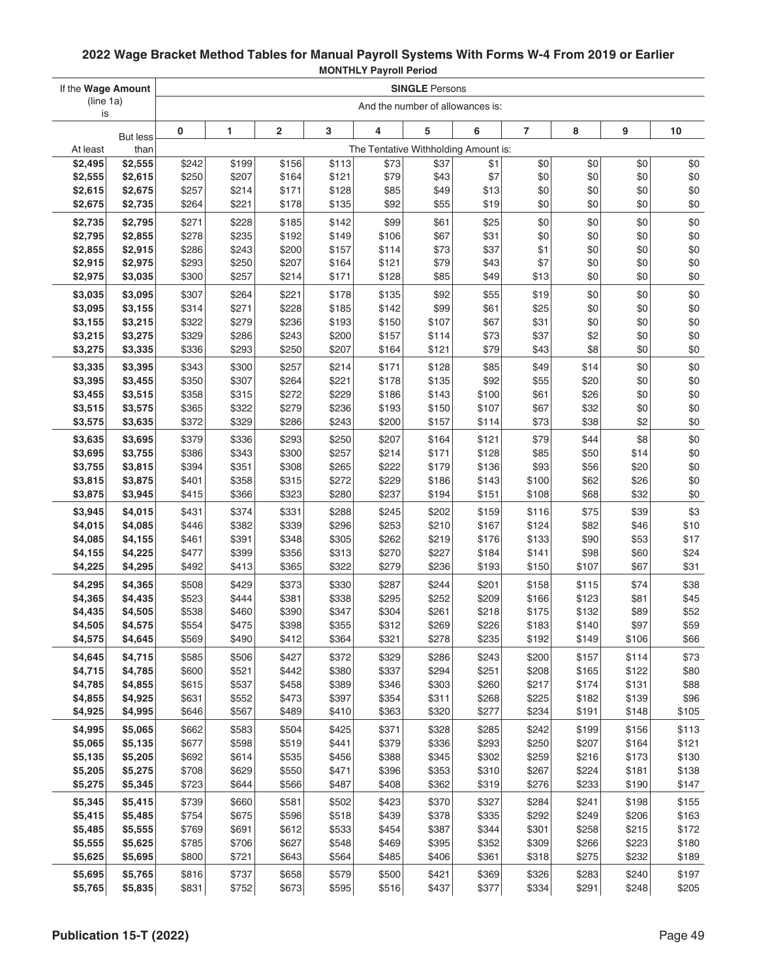| If the Wage Amount  |                    | <b>SINGLE Persons</b> |                |                         |                |                |                                              |                |                |                |                |                |
|---------------------|--------------------|-----------------------|----------------|-------------------------|----------------|----------------|----------------------------------------------|----------------|----------------|----------------|----------------|----------------|
| (line 1a)           |                    |                       |                |                         |                |                | And the number of allowances is:             |                |                |                |                |                |
| is                  |                    |                       | 1              | $\overline{\mathbf{c}}$ | 3              | 4              | 5                                            | 6              | $\overline{7}$ | 8              | 9              | 10             |
|                     | <b>But less</b>    | 0                     |                |                         |                |                |                                              |                |                |                |                |                |
| At least<br>\$2,495 | than<br>\$2,555    | \$242                 | \$199          | \$156                   | \$113          | \$73           | The Tentative Withholding Amount is:<br>\$37 | \$1            | \$0            | \$0            | \$0            | \$0            |
| \$2,555             | \$2,615            | \$250                 | \$207          | \$164                   | \$121          | \$79           | \$43                                         | \$7            | \$0            | \$0            | \$0            | \$0            |
| \$2,615             | \$2,675            | \$257                 | \$214          | \$171                   | \$128          | \$85           | \$49                                         | \$13           | \$0            | \$0            | \$0            | \$0            |
| \$2,675             | \$2,735            | \$264                 | \$221          | \$178                   | \$135          | \$92           | \$55                                         | \$19           | \$0            | \$0            | \$0            | \$0            |
|                     |                    | \$271                 | \$228          | \$185                   | \$142          | \$99           | \$61                                         | \$25           | \$0            | \$0            | \$0            | \$0            |
| \$2,735<br>\$2,795  | \$2,795<br>\$2,855 | \$278                 | \$235          | \$192                   | \$149          | \$106          | \$67                                         | \$31           | \$0            | \$0            | \$0            | \$0            |
| \$2,855             | \$2,915            | \$286                 | \$243          | \$200                   | \$157          | \$114          | \$73                                         | \$37           | \$1            | \$0            | \$0            | \$0            |
| \$2,915             | \$2,975            | \$293                 | \$250          | \$207                   | \$164          | \$121          | \$79                                         | \$43           | \$7            | \$0            | \$0            | \$0            |
| \$2,975             | \$3,035            | \$300                 | \$257          | \$214                   | \$171          | \$128          | \$85                                         | \$49           | \$13           | \$0            | \$0            | \$0            |
| \$3,035             | \$3,095            | \$307                 | \$264          | \$221                   | \$178          | \$135          | \$92                                         | \$55           | \$19           | \$0            | \$0            | \$0            |
| \$3,095             | \$3,155            | \$314                 | \$271          | \$228                   | \$185          | \$142          | \$99                                         | \$61           | \$25           | \$0            | \$0            | \$0            |
| \$3,155             | \$3,215            | \$322                 | \$279          | \$236                   | \$193          | \$150          | \$107                                        | \$67           | \$31           | \$0            | \$0            | \$0            |
| \$3,215             | \$3,275            | \$329                 | \$286          | \$243                   | \$200          | \$157          | \$114                                        | \$73           | \$37           | \$2            | \$0            | \$0            |
| \$3,275             | \$3,335            | \$336                 | \$293          | \$250                   | \$207          | \$164          | \$121                                        | \$79           | \$43           | \$8            | \$0            | \$0            |
| \$3,335             | \$3,395            | \$343                 | \$300          | \$257                   | \$214          | \$171          | \$128                                        | \$85           | \$49           | \$14           | \$0            | \$0            |
| \$3,395             | \$3,455            | \$350                 | \$307          | \$264                   | \$221          | \$178          | \$135                                        | \$92           | \$55           | \$20           | \$0            | \$0            |
| \$3,455             | \$3,515            | \$358                 | \$315          | \$272                   | \$229          | \$186          | \$143                                        | \$100          | \$61           | \$26           | \$0            | \$0            |
| \$3,515             | \$3,575            | \$365                 | \$322          | \$279                   | \$236          | \$193          | \$150                                        | \$107          | \$67           | \$32           | \$0            | \$0            |
| \$3,575             | \$3,635            | \$372                 | \$329          | \$286                   | \$243          | \$200          | \$157                                        | \$114          | \$73           | \$38           | \$2            | \$0            |
| \$3,635             | \$3,695            | \$379                 | \$336          | \$293                   | \$250          | \$207          | \$164                                        | \$121          | \$79           | \$44           | \$8            | \$0            |
| \$3,695             | \$3,755            | \$386                 | \$343          | \$300                   | \$257          | \$214          | \$171                                        | \$128          | \$85           | \$50           | \$14           | \$0            |
| \$3,755             | \$3,815            | \$394                 | \$351          | \$308                   | \$265          | \$222          | \$179                                        | \$136          | \$93           | \$56           | \$20           | \$0            |
| \$3,815             | \$3,875            | \$401                 | \$358          | \$315                   | \$272          | \$229          | \$186                                        | \$143          | \$100          | \$62           | \$26           | \$0            |
| \$3,875             | \$3,945            | \$415                 | \$366          | \$323                   | \$280          | \$237          | \$194                                        | \$151          | \$108          | \$68           | \$32           | \$0            |
| \$3,945             | \$4,015            | \$431                 | \$374          | \$331                   | \$288          | \$245          | \$202                                        | \$159          | \$116          | \$75           | \$39           | \$3            |
| \$4,015             | \$4,085            | \$446                 | \$382          | \$339                   | \$296          | \$253          | \$210                                        | \$167          | \$124          | \$82           | \$46           | \$10           |
| \$4,085<br>\$4,155  | \$4,155<br>\$4,225 | \$461<br>\$477        | \$391<br>\$399 | \$348<br>\$356          | \$305<br>\$313 | \$262<br>\$270 | \$219<br>\$227                               | \$176<br>\$184 | \$133<br>\$141 | \$90<br>\$98   | \$53<br>\$60   | \$17<br>\$24   |
| \$4,225             | \$4,295            | \$492                 | \$413          | \$365                   | \$322          | \$279          | \$236                                        | \$193          | \$150          | \$107          | \$67           | \$31           |
| \$4,295             | \$4,365            | \$508                 | \$429          | \$373                   | \$330          | \$287          | \$244                                        | \$201          | \$158          | \$115          | \$74           | \$38           |
| \$4,365             | \$4,435            | \$523                 | \$444          | \$381                   | \$338          | \$295          | \$252                                        | \$209          | \$166          | \$123          | \$81           | \$45           |
| \$4,435             | \$4,505            | \$538                 | \$460          | \$390                   | \$347          | \$304          | \$261                                        | \$218          | \$175          | \$132          | \$89           | \$52           |
| \$4,505             | \$4,575            | \$554                 | \$475          | \$398                   | \$355          | \$312          | \$269                                        | \$226          | \$183          | \$140          | \$97           | \$59           |
| \$4,575             | \$4,645            | \$569                 | \$490          | \$412                   | \$364          | \$321          | \$278                                        | \$235          | \$192          | \$149          | \$106          | \$66           |
| \$4,645             | \$4,715            | \$585                 | \$506          | \$427                   | \$372          | \$329          | \$286                                        | \$243          | \$200          | \$157          | \$114          | \$73           |
| \$4,715             | \$4,785            | \$600                 | \$521          | \$442                   | \$380          | \$337          | \$294                                        | \$251          | \$208          | \$165          | \$122          | \$80           |
| \$4,785             | \$4,855            | \$615                 | \$537          | \$458                   | \$389          | \$346          | \$303                                        | \$260          | \$217          | \$174          | \$131          | \$88           |
| \$4,855             | \$4,925            | \$631                 | \$552          | \$473                   | \$397          | \$354          | \$311                                        | \$268          | \$225          | \$182          | \$139          | \$96           |
| \$4,925             | \$4,995            | \$646                 | \$567          | \$489                   | \$410          | \$363          | \$320                                        | \$277          | \$234          | \$191          | \$148          | \$105          |
| \$4,995             | \$5,065            | \$662                 | \$583          | \$504                   | \$425          | \$371          | \$328                                        | \$285          | \$242          | \$199          | \$156          | \$113          |
| \$5,065             | \$5,135            | \$677                 | \$598          | \$519                   | \$441          | \$379          | \$336                                        | \$293          | \$250          | \$207          | \$164          | \$121          |
| \$5,135             | \$5,205            | \$692                 | \$614          | \$535                   | \$456          | \$388          | \$345                                        | \$302          | \$259          | \$216          | \$173          | \$130          |
| \$5,205             | \$5,275            | \$708                 | \$629          | \$550                   | \$471          | \$396          | \$353                                        | \$310          | \$267          | \$224          | \$181          | \$138          |
| \$5,275             | \$5,345            | \$723                 | \$644          | \$566                   | \$487          | \$408          | \$362                                        | \$319          | \$276          | \$233          | \$190          | \$147          |
| \$5,345             | \$5,415            | \$739                 | \$660          | \$581                   | \$502          | \$423          | \$370                                        | \$327          | \$284          | \$241          | \$198          | \$155          |
| \$5,415             | \$5,485            | \$754                 | \$675          | \$596                   | \$518          | \$439          | \$378                                        | \$335          | \$292          | \$249          | \$206          | \$163          |
| \$5,485             | \$5,555            | \$769                 | \$691          | \$612                   | \$533          | \$454          | \$387                                        | \$344          | \$301          | \$258          | \$215          | \$172          |
| \$5,555<br>\$5,625  | \$5,625            | \$785<br>\$800        | \$706<br>\$721 | \$627<br>\$643          | \$548<br>\$564 | \$469<br>\$485 | \$395<br>\$406                               | \$352<br>\$361 | \$309<br>\$318 | \$266<br>\$275 | \$223<br>\$232 | \$180<br>\$189 |
|                     | \$5,695            |                       |                |                         |                |                |                                              |                |                |                |                |                |
| \$5,695             | \$5,765            | \$816                 | \$737          | \$658                   | \$579          | \$500          | \$421                                        | \$369          | \$326          | \$283          | \$240          | \$197          |
| \$5,765             | \$5,835            | \$831                 | \$752          | \$673                   | \$595          | \$516          | \$437                                        | \$377          | \$334          | \$291          | \$248          | \$205          |